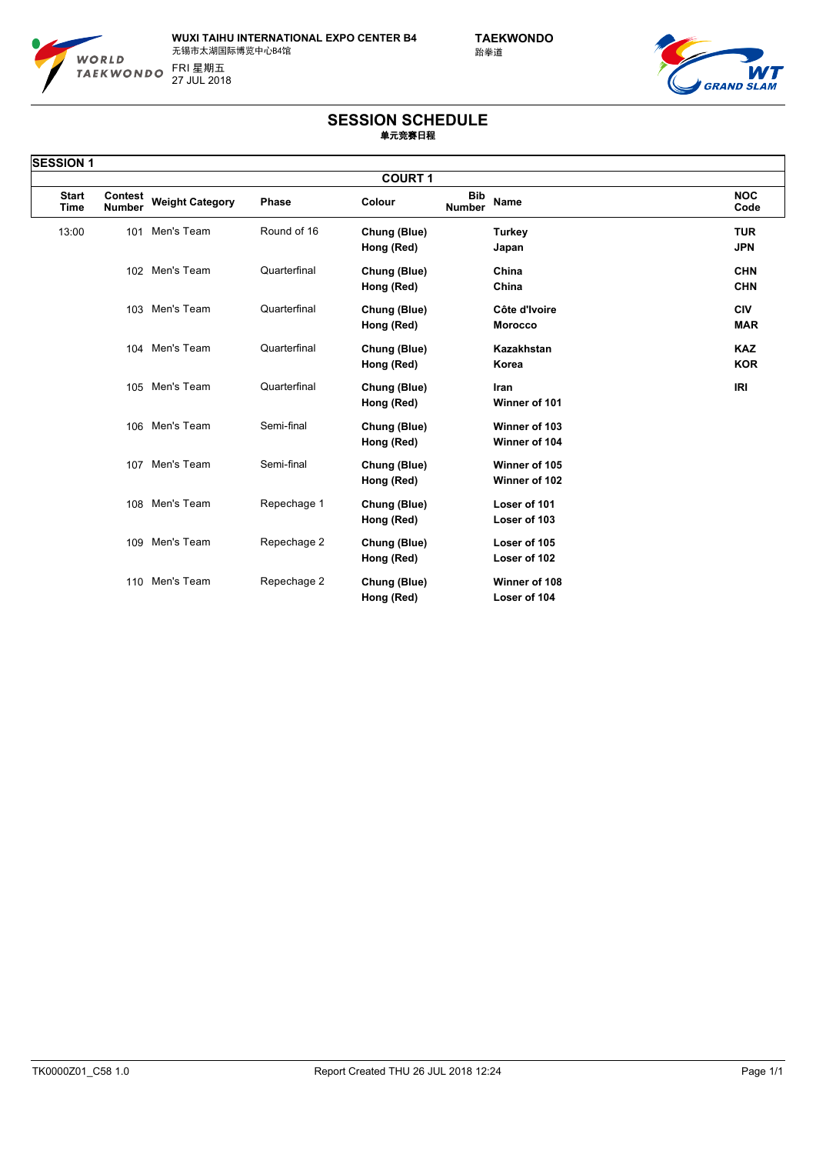

**WUXI TAIHU INTERNATIONAL EXPO CENTER B4 TAEKWONDO** 无锡市太湖国际博览中心B4馆 27 JUL 2018 FRI 星期五



## **SESSION SCHEDULE 单元竞赛日程**

| <b>SESSION 1</b>            |                          |                        |              |                            |                             |                                 |                          |  |
|-----------------------------|--------------------------|------------------------|--------------|----------------------------|-----------------------------|---------------------------------|--------------------------|--|
| <b>COURT 1</b>              |                          |                        |              |                            |                             |                                 |                          |  |
| <b>Start</b><br><b>Time</b> | Contest<br><b>Number</b> | <b>Weight Category</b> | Phase        | Colour                     | <b>Bib</b><br><b>Number</b> | Name                            | <b>NOC</b><br>Code       |  |
| 13:00                       | 101                      | Men's Team             | Round of 16  | Chung (Blue)<br>Hong (Red) |                             | <b>Turkey</b><br>Japan          | <b>TUR</b><br><b>JPN</b> |  |
|                             |                          | 102 Men's Team         | Quarterfinal | Chung (Blue)<br>Hong (Red) |                             | China<br>China                  | <b>CHN</b><br><b>CHN</b> |  |
|                             | 103                      | Men's Team             | Quarterfinal | Chung (Blue)<br>Hong (Red) |                             | Côte d'Ivoire<br><b>Morocco</b> | <b>CIV</b><br><b>MAR</b> |  |
|                             |                          | 104 Men's Team         | Quarterfinal | Chung (Blue)<br>Hong (Red) |                             | Kazakhstan<br>Korea             | <b>KAZ</b><br><b>KOR</b> |  |
|                             |                          | 105 Men's Team         | Quarterfinal | Chung (Blue)<br>Hong (Red) |                             | Iran<br>Winner of 101           | IRI                      |  |
|                             |                          | 106 Men's Team         | Semi-final   | Chung (Blue)<br>Hong (Red) |                             | Winner of 103<br>Winner of 104  |                          |  |
|                             |                          | 107 Men's Team         | Semi-final   | Chung (Blue)<br>Hong (Red) |                             | Winner of 105<br>Winner of 102  |                          |  |
|                             | 108                      | Men's Team             | Repechage 1  | Chung (Blue)<br>Hong (Red) |                             | Loser of 101<br>Loser of 103    |                          |  |
|                             | 109                      | Men's Team             | Repechage 2  | Chung (Blue)<br>Hong (Red) |                             | Loser of 105<br>Loser of 102    |                          |  |
|                             |                          | 110 Men's Team         | Repechage 2  | Chung (Blue)<br>Hong (Red) |                             | Winner of 108<br>Loser of 104   |                          |  |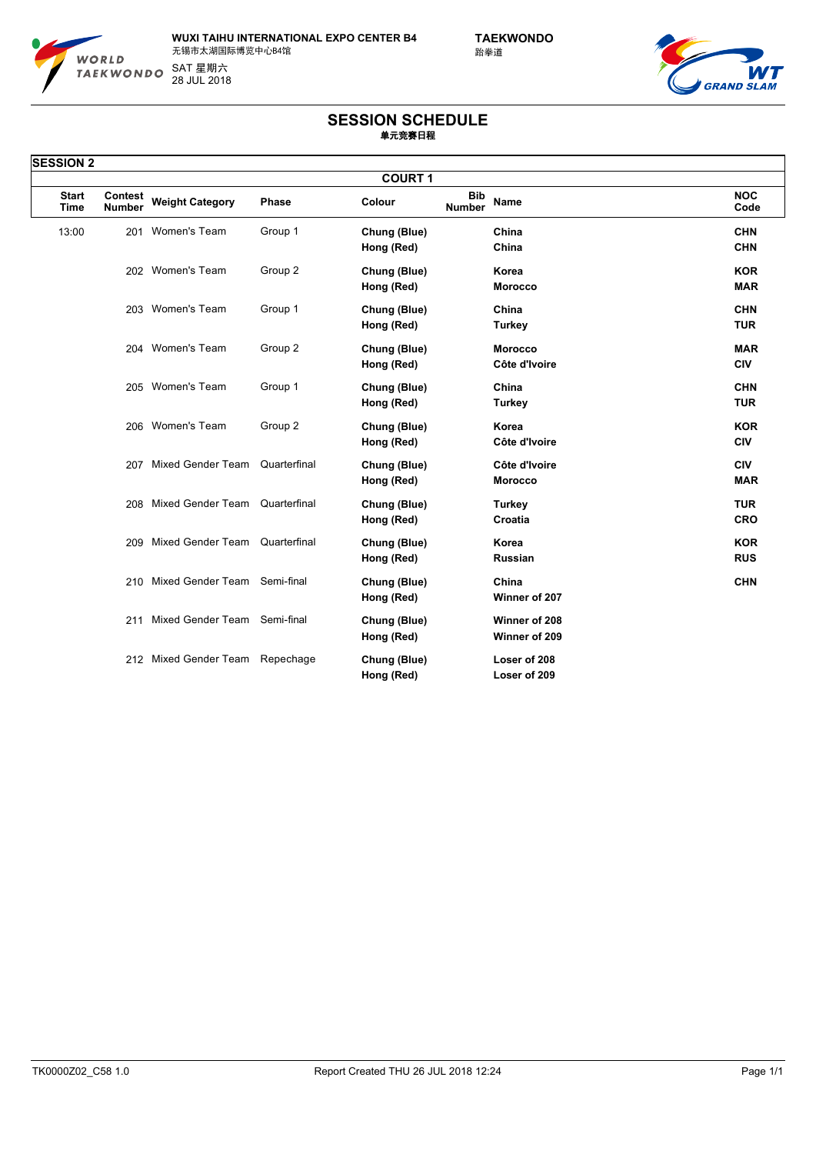

**WUXI TAIHU INTERNATIONAL EXPO CENTER B4 TAEKWONDO** 无锡市太湖国际博览中心B4馆 28 JUL 2018 SAT 星期六



## **SESSION SCHEDULE 单元竞赛日程**

| <b>SESSION 2</b>            |                                 |                                  |              |                            |                                            |                          |  |  |
|-----------------------------|---------------------------------|----------------------------------|--------------|----------------------------|--------------------------------------------|--------------------------|--|--|
| <b>COURT 1</b>              |                                 |                                  |              |                            |                                            |                          |  |  |
| <b>Start</b><br><b>Time</b> | <b>Contest</b><br><b>Number</b> | <b>Weight Category</b>           | <b>Phase</b> | Colour                     | <b>Bib</b><br><b>Name</b><br><b>Number</b> | <b>NOC</b><br>Code       |  |  |
| 13:00                       | 201                             | Women's Team                     | Group 1      | Chung (Blue)<br>Hong (Red) | China<br>China                             | <b>CHN</b><br><b>CHN</b> |  |  |
|                             |                                 | 202 Women's Team                 | Group 2      | Chung (Blue)<br>Hong (Red) | Korea<br><b>Morocco</b>                    | <b>KOR</b><br><b>MAR</b> |  |  |
|                             |                                 | 203 Women's Team                 | Group 1      | Chung (Blue)<br>Hong (Red) | China<br><b>Turkey</b>                     | <b>CHN</b><br><b>TUR</b> |  |  |
|                             |                                 | 204 Women's Team                 | Group 2      | Chung (Blue)<br>Hong (Red) | <b>Morocco</b><br>Côte d'Ivoire            | <b>MAR</b><br><b>CIV</b> |  |  |
|                             |                                 | 205 Women's Team                 | Group 1      | Chung (Blue)<br>Hong (Red) | China<br><b>Turkey</b>                     | <b>CHN</b><br><b>TUR</b> |  |  |
|                             |                                 | 206 Women's Team                 | Group 2      | Chung (Blue)<br>Hong (Red) | Korea<br>Côte d'Ivoire                     | <b>KOR</b><br><b>CIV</b> |  |  |
|                             |                                 | 207 Mixed Gender Team            | Quarterfinal | Chung (Blue)<br>Hong (Red) | Côte d'Ivoire<br><b>Morocco</b>            | <b>CIV</b><br><b>MAR</b> |  |  |
|                             | 208                             | Mixed Gender Team                | Quarterfinal | Chung (Blue)<br>Hong (Red) | <b>Turkey</b><br>Croatia                   | <b>TUR</b><br><b>CRO</b> |  |  |
|                             | 209                             | Mixed Gender Team                | Quarterfinal | Chung (Blue)<br>Hong (Red) | Korea<br><b>Russian</b>                    | <b>KOR</b><br><b>RUS</b> |  |  |
|                             |                                 | 210 Mixed Gender Team Semi-final |              | Chung (Blue)<br>Hong (Red) | China<br>Winner of 207                     | <b>CHN</b>               |  |  |
|                             | 211                             | Mixed Gender Team                | Semi-final   | Chung (Blue)<br>Hong (Red) | Winner of 208<br>Winner of 209             |                          |  |  |
|                             |                                 | 212 Mixed Gender Team            | Repechage    | Chung (Blue)<br>Hong (Red) | Loser of 208<br>Loser of 209               |                          |  |  |